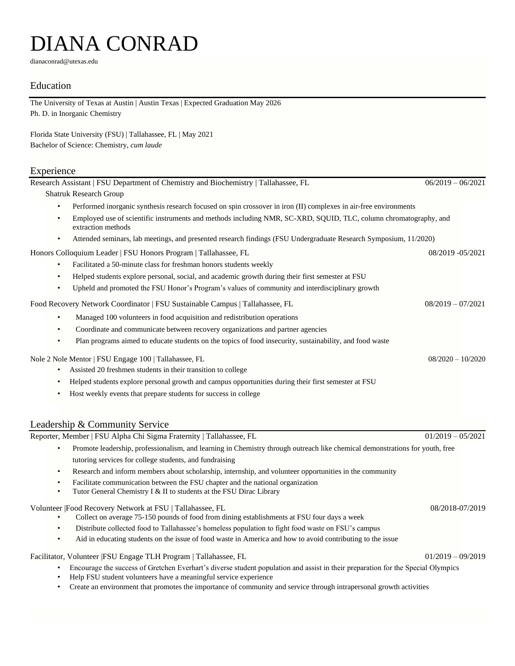# DIANA CONRAD

dianaconrad@utexas.edu

### Education

The University of Texas at Austin | Austin Texas | Expected Graduation May 2026 Ph. D. in Inorganic Chemistry

Florida State University (FSU) | Tallahassee, FL | May 2021 Bachelor of Science: Chemistry, *cum laude*

#### Experience

Research Assistant | FSU Department of Chemistry and Biochemistry | Tallahassee, FL 06/2019 – 06/2021 Shatruk Research Group • Performed inorganic synthesis research focused on spin crossover in iron (II) complexes in air-free environments • Employed use of scientific instruments and methods including NMR, SC-XRD, SQUID, TLC, column chromatography, and extraction methods • Attended seminars, lab meetings, and presented research findings (FSU Undergraduate Research Symposium, 11/2020) Honors Colloquium Leader | FSU Honors Program | Tallahassee, FL 08/2019 -05/2021 • Facilitated a 50-minute class for freshman honors students weekly • Helped students explore personal, social, and academic growth during their first semester at FSU • Upheld and promoted the FSU Honor's Program's values of community and interdisciplinary growth Food Recovery Network Coordinator | FSU Sustainable Campus | Tallahassee, FL 08/2019 – 07/2021 • Managed 100 volunteers in food acquisition and redistribution operations • Coordinate and communicate between recovery organizations and partner agencies • Plan programs aimed to educate students on the topics of food insecurity, sustainability, and food waste Nole 2 Nole Mentor | FSU Engage 100 | Tallahassee, FL 08/2020 – 10/2020 – 10/2020 – 10/2020 • Assisted 20 freshmen students in their transition to college • Helped students explore personal growth and campus opportunities during their first semester at FSU Host weekly events that prepare students for success in college

## Leadership & Community Service

Reporter, Member | FSU Alpha Chi Sigma Fraternity | Tallahassee, FL 01/2019 – 05/2021

- Promote leadership, professionalism, and learning in Chemistry through outreach like chemical demonstrations for youth, free tutoring services for college students, and fundraising
- Research and inform members about scholarship, internship, and volunteer opportunities in the community
- Facilitate communication between the FSU chapter and the national organization
- Tutor General Chemistry I & II to students at the FSU Dirac Library

Volunteer |Food Recovery Network at FSU | Tallahassee, FL 08/2018-07/2019

- Collect on average 75-150 pounds of food from dining establishments at FSU four days a week
- Distribute collected food to Tallahassee's homeless population to fight food waste on FSU's campus
- Aid in educating students on the issue of food waste in America and how to avoid contributing to the issue

Facilitator, Volunteer |FSU Engage TLH Program | Tallahassee, FL 01/2019 – 09/2019 – 09/2019

- Encourage the success of Gretchen Everhart's diverse student population and assist in their preparation for the Special Olympics
- Help FSU student volunteers have a meaningful service experience
- Create an environment that promotes the importance of community and service through intrapersonal growth activities